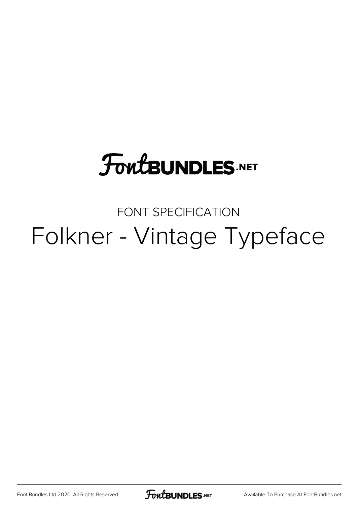## **FoutBUNDLES.NET**

### FONT SPECIFICATION Folkner - Vintage Typeface

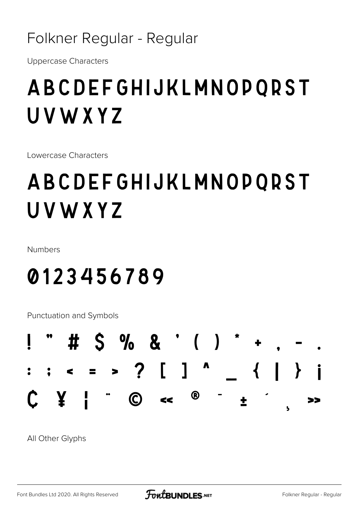### Folkner Regular - Regular

**Uppercase Characters** 

### ABCDEFGHIJKLMNOPORST UVWXYZ

Lowercase Characters

## ABCDEFGHIJKLMNOPQRST UVWXYZ

Numbers

0123456789

**Punctuation and Symbols** 



All Other Glyphs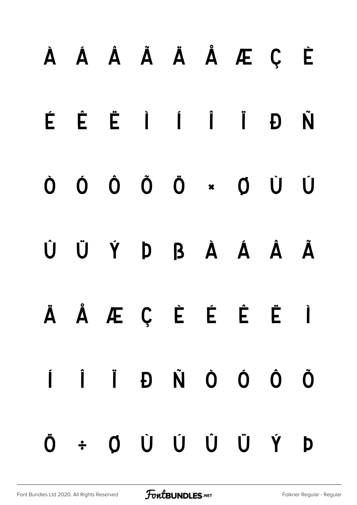# À Á Â Ã Ä Å Æ Ç È É Ê Ë Ì Í Î Ï Ð Ñ Ò Ó Ô Õ Ö × Ø Ù Ú Û Ü Ý Þ ß à á â ã ä å æ ç è é ê ë ì í î ï ð ñ ò ó ô õ ö ÷ ø ù ú û ü ý þ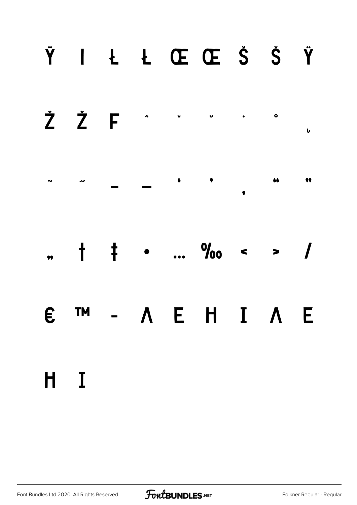### ŸIŁŁŒŒŠŠŸ



#### $\bullet$  ...  $\%$  $\dagger$   $\dagger$  $\overline{\phantom{a}}$  $\left($  $\blacktriangleright$  $\bullet$

#### $\wedge$   $E$   $H$   $I$   $\wedge$   $E$  $\boldsymbol{\epsilon}$ **TM**

HI

Font Bundles Ltd 2020. All Rights Reserved

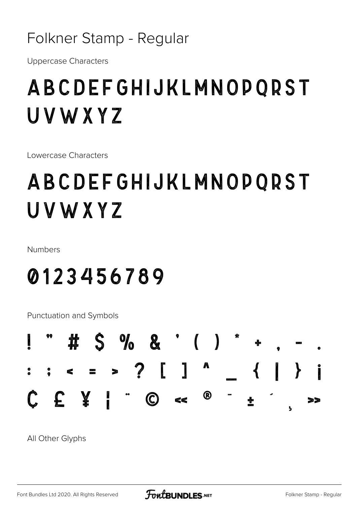### Folkner Stamp - Regular

**Uppercase Characters** 

### ABCDEFGHIJKLMNOPORST UVWXYZ

Lowercase Characters

## ABCDEFGHIJKLMNOPQRST UVWXYZ

Numbers

0123456789

**Punctuation and Symbols** 



All Other Glyphs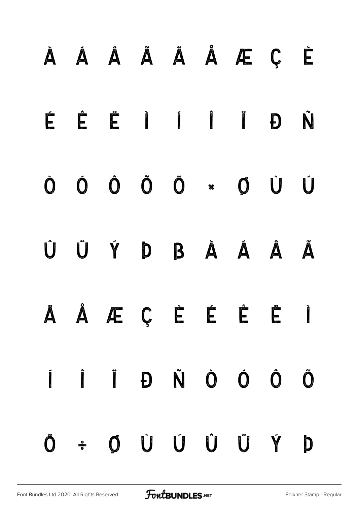# À Á Â Ã Ä Å Æ Ç È É Ê Ë Ì Í Î Ï Ð Ñ Ò Ó Ô Õ Ö × Ø Ù Ú Û Ü Ý Þ ß à á â ã ä å æ ç è é ê ë ì í î ï ð ñ ò ó ô õ ö ÷ ø ù ú û ü ý þ